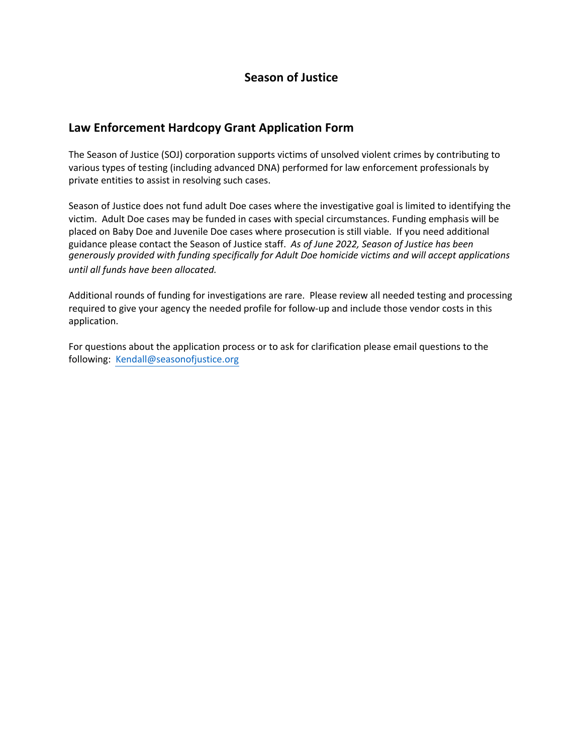## **Season of Justice**

### **Law Enforcement Hardcopy Grant Application Form**

The Season of Justice (SOJ) corporation supports victims of unsolved violent crimes by contributing to various types of testing (including advanced DNA) performed for law enforcement professionals by private entities to assist in resolving such cases.

Season of Justice does not fund adult Doe cases where the investigative goal is limited to identifying the victim. Adult Doe cases may be funded in cases with special circumstances. Funding emphasis will be placed on Baby Doe and Juvenile Doe cases where prosecution is still viable. If you need additional guidance please contact the Season of Justice staff. *As of June 2022, Season of Justice has been generously provided with funding specifically for Adult Doe homicide victims and will accept applications until all funds have been allocated.* 

Additional rounds of funding for investigations are rare. Please review all needed testing and processing required to give your agency the needed profile for follow-up and include those vendor costs in this application.

For questions about the application process or to ask for clarification please email questions to the following: Kendall@seasonofjustice.org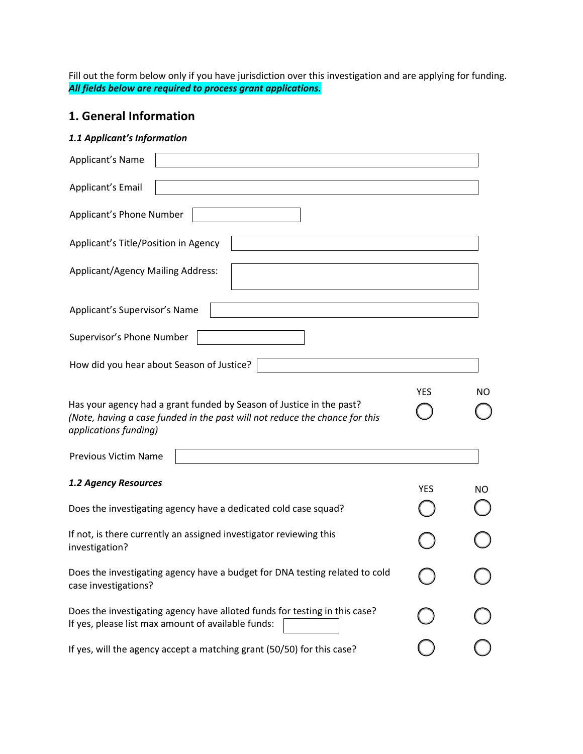Fill out the form below only if you have jurisdiction over this investigation and are applying for funding. *All fields below are required to process grant applications.* 

## **1. General Information**

#### *1.1 Applicant's Information*

| Applicant's Name                                                                                                                                                             |            |     |
|------------------------------------------------------------------------------------------------------------------------------------------------------------------------------|------------|-----|
| Applicant's Email                                                                                                                                                            |            |     |
| Applicant's Phone Number                                                                                                                                                     |            |     |
| Applicant's Title/Position in Agency                                                                                                                                         |            |     |
| <b>Applicant/Agency Mailing Address:</b>                                                                                                                                     |            |     |
| Applicant's Supervisor's Name                                                                                                                                                |            |     |
| Supervisor's Phone Number                                                                                                                                                    |            |     |
| How did you hear about Season of Justice?                                                                                                                                    |            |     |
| Has your agency had a grant funded by Season of Justice in the past?<br>(Note, having a case funded in the past will not reduce the chance for this<br>applications funding) | <b>YES</b> | NO. |
| <b>Previous Victim Name</b>                                                                                                                                                  |            |     |
| 1.2 Agency Resources<br>Does the investigating agency have a dedicated cold case squad?                                                                                      | YES        | NO. |
| If not, is there currently an assigned investigator reviewing this<br>investigation?                                                                                         |            |     |
| Does the investigating agency have a budget for DNA testing related to cold<br>case investigations?                                                                          |            |     |
| Does the investigating agency have alloted funds for testing in this case?<br>If yes, please list max amount of available funds:                                             |            |     |
| If yes, will the agency accept a matching grant (50/50) for this case?                                                                                                       |            |     |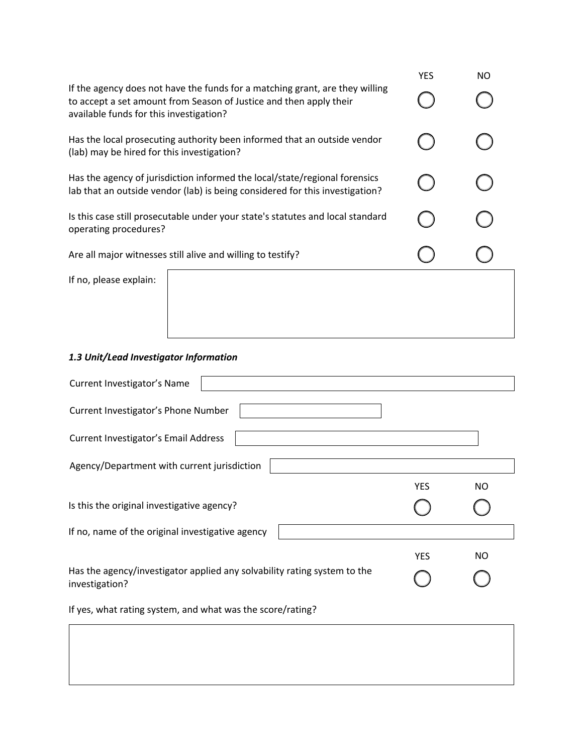|                                                                                                                                                                                               | <b>YES</b> | <b>NO</b> |
|-----------------------------------------------------------------------------------------------------------------------------------------------------------------------------------------------|------------|-----------|
| If the agency does not have the funds for a matching grant, are they willing<br>to accept a set amount from Season of Justice and then apply their<br>available funds for this investigation? |            |           |
| Has the local prosecuting authority been informed that an outside vendor<br>(lab) may be hired for this investigation?                                                                        |            |           |
| Has the agency of jurisdiction informed the local/state/regional forensics<br>lab that an outside vendor (lab) is being considered for this investigation?                                    |            |           |
| Is this case still prosecutable under your state's statutes and local standard<br>operating procedures?                                                                                       |            |           |
| Are all major witnesses still alive and willing to testify?                                                                                                                                   |            |           |
| If no, please explain:                                                                                                                                                                        |            |           |
|                                                                                                                                                                                               |            |           |

#### *1.3 Unit/Lead Investigator Information*

| Current Investigator's Name                                                                |            |           |  |
|--------------------------------------------------------------------------------------------|------------|-----------|--|
| Current Investigator's Phone Number                                                        |            |           |  |
| Current Investigator's Email Address                                                       |            |           |  |
| Agency/Department with current jurisdiction                                                |            |           |  |
|                                                                                            | <b>YES</b> | <b>NO</b> |  |
| Is this the original investigative agency?                                                 |            |           |  |
| If no, name of the original investigative agency                                           |            |           |  |
|                                                                                            | <b>YES</b> | NO.       |  |
| Has the agency/investigator applied any solvability rating system to the<br>investigation? |            |           |  |
| If yes, what rating system, and what was the score/rating?                                 |            |           |  |
|                                                                                            |            |           |  |
|                                                                                            |            |           |  |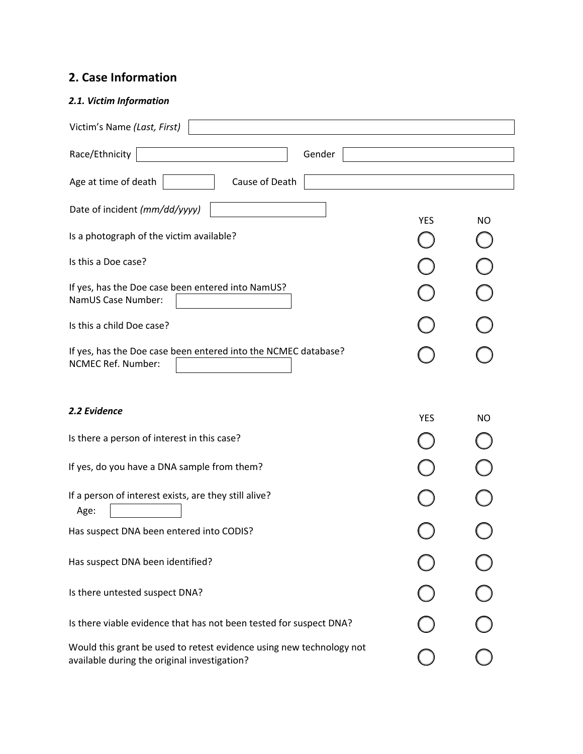# **2. Case Information**

#### *2.1. Victim Information*

| Victim's Name (Last, First)                                                                                          |            |           |
|----------------------------------------------------------------------------------------------------------------------|------------|-----------|
| Race/Ethnicity<br>Gender                                                                                             |            |           |
| Age at time of death<br>Cause of Death                                                                               |            |           |
| Date of incident (mm/dd/yyyy)                                                                                        |            |           |
| Is a photograph of the victim available?                                                                             | <b>YES</b> | <b>NO</b> |
| Is this a Doe case?                                                                                                  |            |           |
| If yes, has the Doe case been entered into NamUS?<br>NamUS Case Number:                                              |            |           |
| Is this a child Doe case?                                                                                            |            |           |
| If yes, has the Doe case been entered into the NCMEC database?<br><b>NCMEC Ref. Number:</b>                          |            |           |
| 2.2 Evidence                                                                                                         | <b>YES</b> | <b>NO</b> |
| Is there a person of interest in this case?                                                                          |            |           |
| If yes, do you have a DNA sample from them?                                                                          |            |           |
| If a person of interest exists, are they still alive?<br>Age:                                                        |            |           |
| Has suspect DNA been entered into CODIS?                                                                             |            |           |
| Has suspect DNA been identified?                                                                                     |            |           |
| Is there untested suspect DNA?                                                                                       |            |           |
| Is there viable evidence that has not been tested for suspect DNA?                                                   |            |           |
| Would this grant be used to retest evidence using new technology not<br>available during the original investigation? |            |           |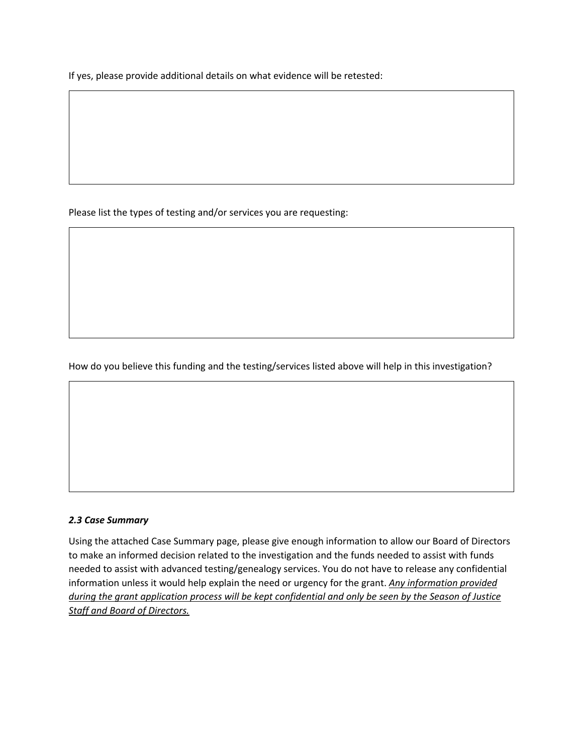If yes, please provide additional details on what evidence will be retested:

Please list the types of testing and/or services you are requesting:

How do you believe this funding and the testing/services listed above will help in this investigation?

#### *2.3 Case Summary*

Using the attached Case Summary page, please give enough information to allow our Board of Directors to make an informed decision related to the investigation and the funds needed to assist with funds needed to assist with advanced testing/genealogy services. You do not have to release any confidential information unless it would help explain the need or urgency for the grant. *Any information provided during the grant application process will be kept confidential and only be seen by the Season of Justice Staff and Board of Directors.*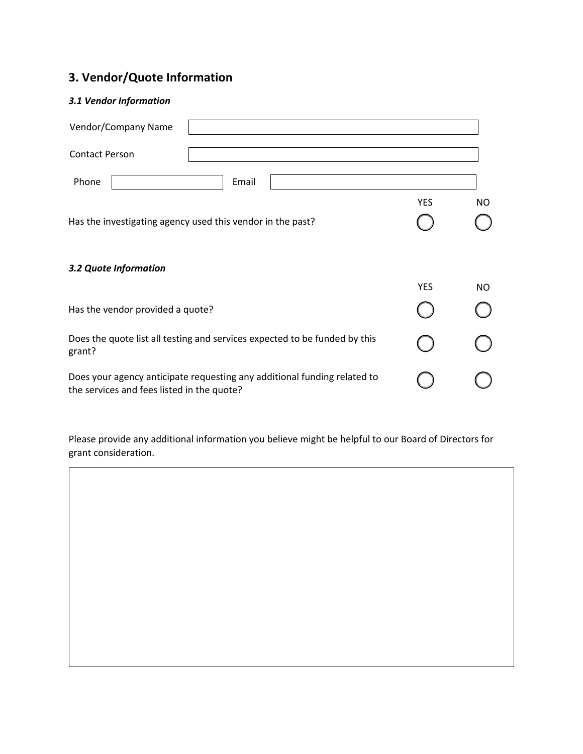# **3. Vendor/Quote Information**

### *3.1 Vendor Information*

| <b>Contact Person</b>                                                                                                  |                         |  |
|------------------------------------------------------------------------------------------------------------------------|-------------------------|--|
| Phone<br>Email                                                                                                         |                         |  |
| Has the investigating agency used this vendor in the past?                                                             | <b>YES</b><br>NO.       |  |
| 3.2 Quote Information                                                                                                  |                         |  |
|                                                                                                                        | <b>YES</b><br><b>NO</b> |  |
| Has the vendor provided a quote?                                                                                       |                         |  |
| Does the quote list all testing and services expected to be funded by this<br>grant?                                   |                         |  |
| Does your agency anticipate requesting any additional funding related to<br>the services and fees listed in the quote? |                         |  |

Please provide any additional information you believe might be helpful to our Board of Directors for grant consideration.